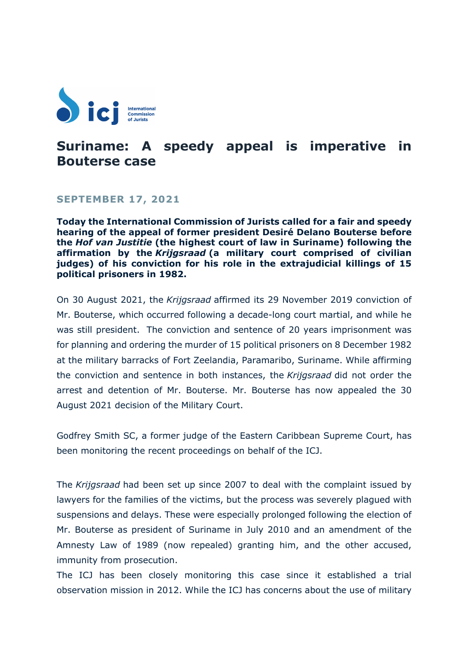

## **Suriname: A speedy appeal is imperative in Bouterse case**

## **SEPTEMBER 17, 2021**

**Today the International Commission of Jurists called for a fair and speedy hearing of the appeal of former president Desiré Delano Bouterse before the** *Hof van Justitie* **(the highest court of law in Suriname) following the affirmation by the** *Krijgsraad* **(a military court comprised of civilian judges) of his conviction for his role in the extrajudicial killings of 15 political prisoners in 1982.**

On 30 August 2021, the *Krijgsraad* affirmed its 29 November 2019 conviction of Mr. Bouterse, which occurred following a decade-long court martial, and while he was still president. The conviction and sentence of 20 years imprisonment was for planning and ordering the murder of 15 political prisoners on 8 December 1982 at the military barracks of Fort Zeelandia, Paramaribo, Suriname. While affirming the conviction and sentence in both instances, the *Krijgsraad* did not order the arrest and detention of Mr. Bouterse. Mr. Bouterse has now appealed the 30 August 2021 decision of the Military Court.

Godfrey Smith SC, a former judge of the Eastern Caribbean Supreme Court, has been monitoring the recent proceedings on behalf of the ICJ.

The *Krijgsraad* had been set up since 2007 to deal with the complaint issued by lawyers for the families of the victims, but the process was severely plagued with suspensions and delays. These were especially prolonged following the election of Mr. Bouterse as president of Suriname in July 2010 and an amendment of the Amnesty Law of 1989 (now repealed) granting him, and the other accused, immunity from prosecution.

The ICJ has been closely monitoring this case since it established a trial observation mission in 2012. While the ICJ has concerns about the use of military